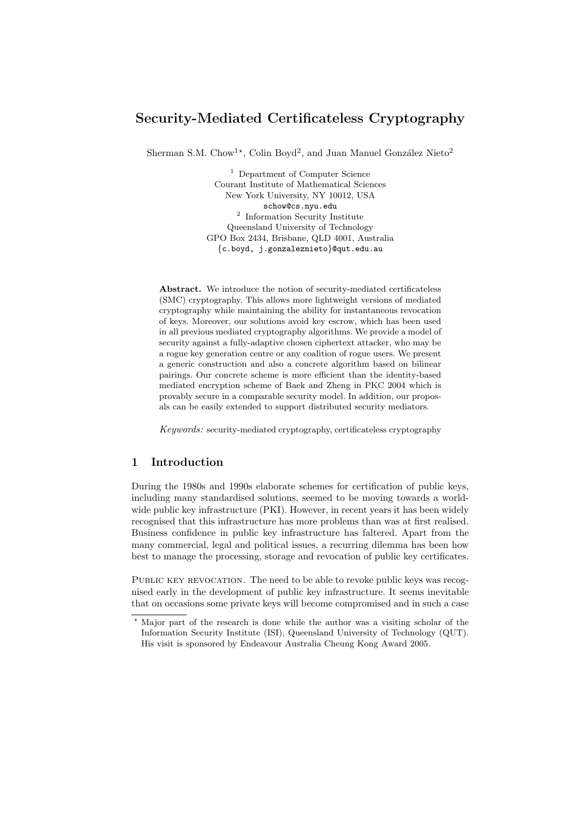# Security-Mediated Certificateless Cryptography

Sherman S.M. Chow<sup>1\*</sup>, Colin Boyd<sup>2</sup>, and Juan Manuel González Nieto<sup>2</sup>

<sup>1</sup> Department of Computer Science Courant Institute of Mathematical Sciences New York University, NY 10012, USA schow@cs.nyu.edu 2 Information Security Institute Queensland University of Technology GPO Box 2434, Brisbane, QLD 4001, Australia {c.boyd, j.gonzaleznieto}@qut.edu.au

Abstract. We introduce the notion of security-mediated certificateless (SMC) cryptography. This allows more lightweight versions of mediated cryptography while maintaining the ability for instantaneous revocation of keys. Moreover, our solutions avoid key escrow, which has been used in all previous mediated cryptography algorithms. We provide a model of security against a fully-adaptive chosen ciphertext attacker, who may be a rogue key generation centre or any coalition of rogue users. We present a generic construction and also a concrete algorithm based on bilinear pairings. Our concrete scheme is more efficient than the identity-based mediated encryption scheme of Baek and Zheng in PKC 2004 which is provably secure in a comparable security model. In addition, our proposals can be easily extended to support distributed security mediators.

Keywords: security-mediated cryptography, certificateless cryptography

# 1 Introduction

During the 1980s and 1990s elaborate schemes for certification of public keys, including many standardised solutions, seemed to be moving towards a worldwide public key infrastructure (PKI). However, in recent years it has been widely recognised that this infrastructure has more problems than was at first realised. Business confidence in public key infrastructure has faltered. Apart from the many commercial, legal and political issues, a recurring dilemma has been how best to manage the processing, storage and revocation of public key certificates.

PUBLIC KEY REVOCATION. The need to be able to revoke public keys was recognised early in the development of public key infrastructure. It seems inevitable that on occasions some private keys will become compromised and in such a case

<sup>?</sup> Major part of the research is done while the author was a visiting scholar of the Information Security Institute (ISI), Queensland University of Technology (QUT). His visit is sponsored by Endeavour Australia Cheung Kong Award 2005.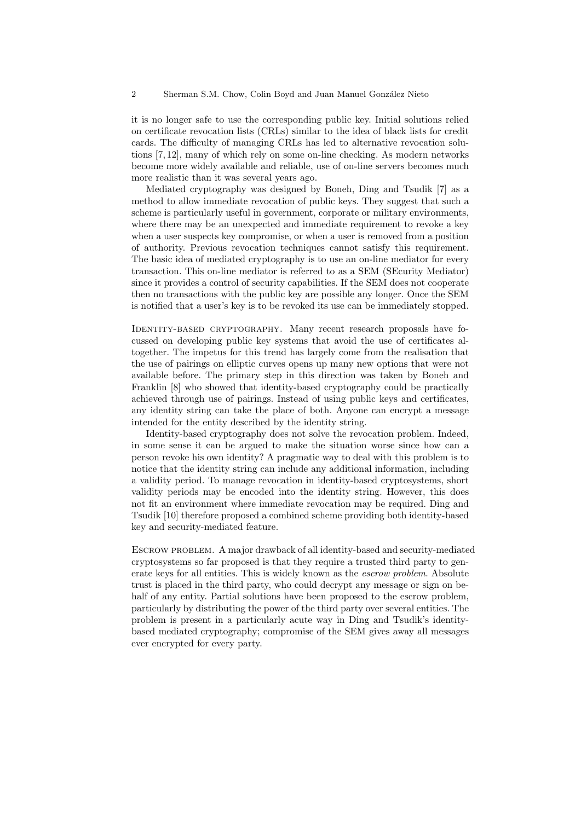it is no longer safe to use the corresponding public key. Initial solutions relied on certificate revocation lists (CRLs) similar to the idea of black lists for credit cards. The difficulty of managing CRLs has led to alternative revocation solutions [7, 12], many of which rely on some on-line checking. As modern networks become more widely available and reliable, use of on-line servers becomes much more realistic than it was several years ago.

Mediated cryptography was designed by Boneh, Ding and Tsudik [7] as a method to allow immediate revocation of public keys. They suggest that such a scheme is particularly useful in government, corporate or military environments, where there may be an unexpected and immediate requirement to revoke a key when a user suspects key compromise, or when a user is removed from a position of authority. Previous revocation techniques cannot satisfy this requirement. The basic idea of mediated cryptography is to use an on-line mediator for every transaction. This on-line mediator is referred to as a SEM (SEcurity Mediator) since it provides a control of security capabilities. If the SEM does not cooperate then no transactions with the public key are possible any longer. Once the SEM is notified that a user's key is to be revoked its use can be immediately stopped.

IDENTITY-BASED CRYPTOGRAPHY. Many recent research proposals have focussed on developing public key systems that avoid the use of certificates altogether. The impetus for this trend has largely come from the realisation that the use of pairings on elliptic curves opens up many new options that were not available before. The primary step in this direction was taken by Boneh and Franklin [8] who showed that identity-based cryptography could be practically achieved through use of pairings. Instead of using public keys and certificates, any identity string can take the place of both. Anyone can encrypt a message intended for the entity described by the identity string.

Identity-based cryptography does not solve the revocation problem. Indeed, in some sense it can be argued to make the situation worse since how can a person revoke his own identity? A pragmatic way to deal with this problem is to notice that the identity string can include any additional information, including a validity period. To manage revocation in identity-based cryptosystems, short validity periods may be encoded into the identity string. However, this does not fit an environment where immediate revocation may be required. Ding and Tsudik [10] therefore proposed a combined scheme providing both identity-based key and security-mediated feature.

Escrow problem. A major drawback of all identity-based and security-mediated cryptosystems so far proposed is that they require a trusted third party to generate keys for all entities. This is widely known as the *escrow problem*. Absolute trust is placed in the third party, who could decrypt any message or sign on behalf of any entity. Partial solutions have been proposed to the escrow problem, particularly by distributing the power of the third party over several entities. The problem is present in a particularly acute way in Ding and Tsudik's identitybased mediated cryptography; compromise of the SEM gives away all messages ever encrypted for every party.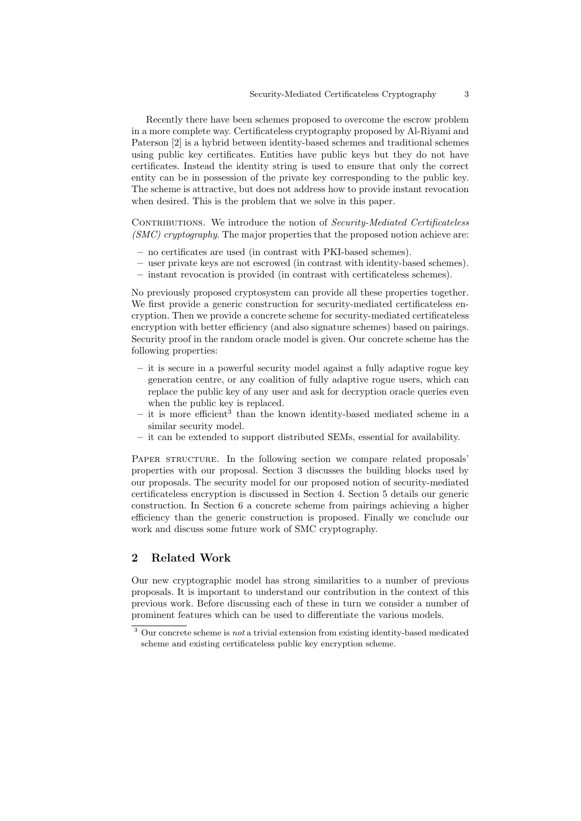Recently there have been schemes proposed to overcome the escrow problem in a more complete way. Certificateless cryptography proposed by Al-Riyami and Paterson [2] is a hybrid between identity-based schemes and traditional schemes using public key certificates. Entities have public keys but they do not have certificates. Instead the identity string is used to ensure that only the correct entity can be in possession of the private key corresponding to the public key. The scheme is attractive, but does not address how to provide instant revocation when desired. This is the problem that we solve in this paper.

CONTRIBUTIONS. We introduce the notion of Security-Mediated Certificateless (SMC) cryptography. The major properties that the proposed notion achieve are:

- no certificates are used (in contrast with PKI-based schemes).
- user private keys are not escrowed (in contrast with identity-based schemes).
- instant revocation is provided (in contrast with certificateless schemes).

No previously proposed cryptosystem can provide all these properties together. We first provide a generic construction for security-mediated certificateless encryption. Then we provide a concrete scheme for security-mediated certificateless encryption with better efficiency (and also signature schemes) based on pairings. Security proof in the random oracle model is given. Our concrete scheme has the following properties:

- it is secure in a powerful security model against a fully adaptive rogue key generation centre, or any coalition of fully adaptive rogue users, which can replace the public key of any user and ask for decryption oracle queries even when the public key is replaced.
- it is more efficient<sup>3</sup> than the known identity-based mediated scheme in a similar security model.
- it can be extended to support distributed SEMs, essential for availability.

PAPER STRUCTURE. In the following section we compare related proposals' properties with our proposal. Section 3 discusses the building blocks used by our proposals. The security model for our proposed notion of security-mediated certificateless encryption is discussed in Section 4. Section 5 details our generic construction. In Section 6 a concrete scheme from pairings achieving a higher efficiency than the generic construction is proposed. Finally we conclude our work and discuss some future work of SMC cryptography.

# 2 Related Work

Our new cryptographic model has strong similarities to a number of previous proposals. It is important to understand our contribution in the context of this previous work. Before discussing each of these in turn we consider a number of prominent features which can be used to differentiate the various models.

 $3$  Our concrete scheme is not a trivial extension from existing identity-based medicated scheme and existing certificateless public key encryption scheme.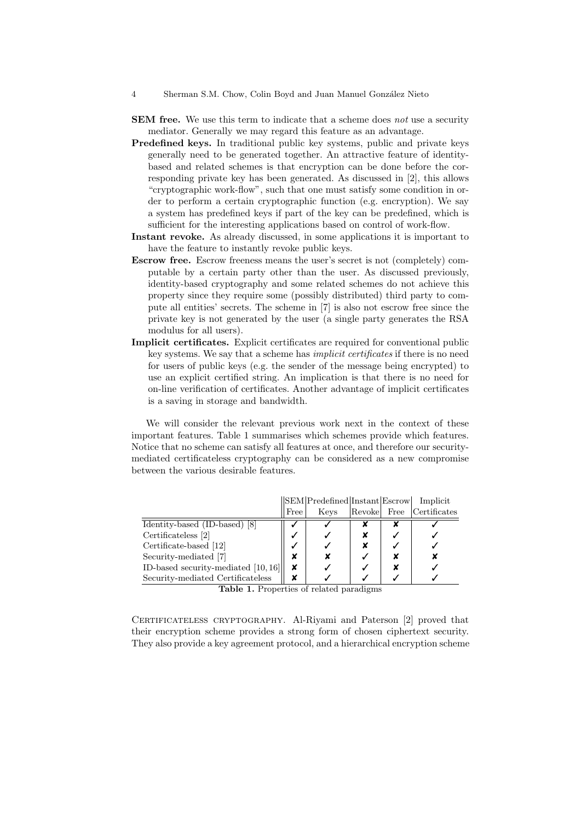- 4 Sherman S.M. Chow, Colin Boyd and Juan Manuel González Nieto
- **SEM free.** We use this term to indicate that a scheme does not use a security mediator. Generally we may regard this feature as an advantage.
- Predefined keys. In traditional public key systems, public and private keys generally need to be generated together. An attractive feature of identitybased and related schemes is that encryption can be done before the corresponding private key has been generated. As discussed in [2], this allows "cryptographic work-flow", such that one must satisfy some condition in order to perform a certain cryptographic function (e.g. encryption). We say a system has predefined keys if part of the key can be predefined, which is sufficient for the interesting applications based on control of work-flow.
- Instant revoke. As already discussed, in some applications it is important to have the feature to instantly revoke public keys.
- Escrow free. Escrow freeness means the user's secret is not (completely) computable by a certain party other than the user. As discussed previously, identity-based cryptography and some related schemes do not achieve this property since they require some (possibly distributed) third party to compute all entities' secrets. The scheme in [7] is also not escrow free since the private key is not generated by the user (a single party generates the RSA modulus for all users).
- Implicit certificates. Explicit certificates are required for conventional public key systems. We say that a scheme has *implicit certificates* if there is no need for users of public keys (e.g. the sender of the message being encrypted) to use an explicit certified string. An implication is that there is no need for on-line verification of certificates. Another advantage of implicit certificates is a saving in storage and bandwidth.

We will consider the relevant previous work next in the context of these important features. Table 1 summarises which schemes provide which features. Notice that no scheme can satisfy all features at once, and therefore our securitymediated certificateless cryptography can be considered as a new compromise between the various desirable features.

|                                    |      | $\mathcal{L}$ |         |      | 1111011010   |
|------------------------------------|------|---------------|---------|------|--------------|
|                                    | Free | Keys          | Revokel | Free | Certificates |
| Identity-based (ID-based) [8]      |      |               |         |      |              |
| Certificateless [2]                |      |               |         |      |              |
| Certificate-based [12]             |      |               |         |      |              |
| Security-mediated [7]              |      |               |         |      |              |
| ID-based security-mediated [10,16] | x    |               |         |      |              |
| Security-mediated Certificateless  | ×    |               |         |      |              |
| <b>m</b> 1 1<br><sub>D</sub>       |      |               | $\cdot$ |      |              |

 $S$ EM  $D_{mod}$   $G_{mod}$  Instant  $E_{conc}$  Implicit

Table 1. Properties of related paradigms

CERTIFICATELESS CRYPTOGRAPHY. Al-Riyami and Paterson [2] proved that their encryption scheme provides a strong form of chosen ciphertext security. They also provide a key agreement protocol, and a hierarchical encryption scheme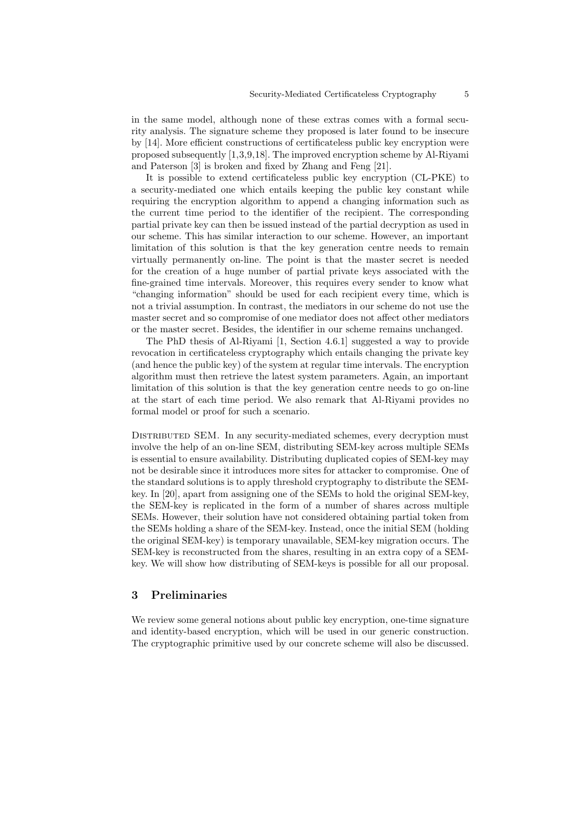in the same model, although none of these extras comes with a formal security analysis. The signature scheme they proposed is later found to be insecure by [14]. More efficient constructions of certificateless public key encryption were proposed subsequently [1,3,9,18]. The improved encryption scheme by Al-Riyami and Paterson [3] is broken and fixed by Zhang and Feng [21].

It is possible to extend certificateless public key encryption (CL-PKE) to a security-mediated one which entails keeping the public key constant while requiring the encryption algorithm to append a changing information such as the current time period to the identifier of the recipient. The corresponding partial private key can then be issued instead of the partial decryption as used in our scheme. This has similar interaction to our scheme. However, an important limitation of this solution is that the key generation centre needs to remain virtually permanently on-line. The point is that the master secret is needed for the creation of a huge number of partial private keys associated with the fine-grained time intervals. Moreover, this requires every sender to know what "changing information" should be used for each recipient every time, which is not a trivial assumption. In contrast, the mediators in our scheme do not use the master secret and so compromise of one mediator does not affect other mediators or the master secret. Besides, the identifier in our scheme remains unchanged.

The PhD thesis of Al-Riyami [1, Section 4.6.1] suggested a way to provide revocation in certificateless cryptography which entails changing the private key (and hence the public key) of the system at regular time intervals. The encryption algorithm must then retrieve the latest system parameters. Again, an important limitation of this solution is that the key generation centre needs to go on-line at the start of each time period. We also remark that Al-Riyami provides no formal model or proof for such a scenario.

DISTRIBUTED SEM. In any security-mediated schemes, every decryption must involve the help of an on-line SEM, distributing SEM-key across multiple SEMs is essential to ensure availability. Distributing duplicated copies of SEM-key may not be desirable since it introduces more sites for attacker to compromise. One of the standard solutions is to apply threshold cryptography to distribute the SEMkey. In [20], apart from assigning one of the SEMs to hold the original SEM-key, the SEM-key is replicated in the form of a number of shares across multiple SEMs. However, their solution have not considered obtaining partial token from the SEMs holding a share of the SEM-key. Instead, once the initial SEM (holding the original SEM-key) is temporary unavailable, SEM-key migration occurs. The SEM-key is reconstructed from the shares, resulting in an extra copy of a SEMkey. We will show how distributing of SEM-keys is possible for all our proposal.

# 3 Preliminaries

We review some general notions about public key encryption, one-time signature and identity-based encryption, which will be used in our generic construction. The cryptographic primitive used by our concrete scheme will also be discussed.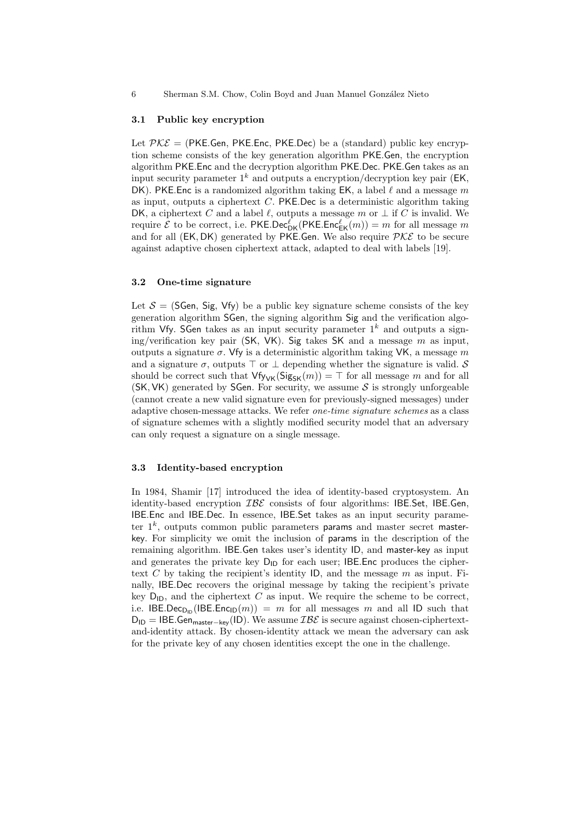#### 3.1 Public key encryption

Let  $PKE = (PKE.Gen, PKEEnc, PKEDec)$  be a (standard) public key encryption scheme consists of the key generation algorithm PKE.Gen, the encryption algorithm PKE.Enc and the decryption algorithm PKE.Dec. PKE.Gen takes as an input security parameter  $1^k$  and outputs a encryption/decryption key pair (EK, DK). PKE. Enc is a randomized algorithm taking EK, a label  $\ell$  and a message m as input, outputs a ciphertext  $C$ . PKE.Dec is a deterministic algorithm taking DK, a ciphertext C and a label  $\ell$ , outputs a message m or  $\perp$  if C is invalid. We require  $\mathcal E$  to be correct, i.e. PKE.Dec $_{\mathsf{DK}}^{\ell}(\mathsf{PKE}.\mathsf{Enc}^{\ell}_{\mathsf{EK}}(m)) = m$  for all message m and for all (EK, DK) generated by PKE. Gen. We also require  $PKE$  to be secure against adaptive chosen ciphertext attack, adapted to deal with labels [19].

### 3.2 One-time signature

Let  $\mathcal{S} = (S\zeta)$  Sig,  $Vf\gamma$  be a public key signature scheme consists of the key generation algorithm SGen, the signing algorithm Sig and the verification algorithm Vfy. SGen takes as an input security parameter  $1^k$  and outputs a signing/verification key pair (SK, VK). Sig takes SK and a message  $m$  as input, outputs a signature  $\sigma$ . Vfy is a deterministic algorithm taking VK, a message m and a signature  $\sigma$ , outputs  $\top$  or  $\bot$  depending whether the signature is valid.  $\mathcal S$ should be correct such that  $Vf_{V\vee K}(Sig_{SK}(m)) = \top$  for all message m and for all  $(SK, VK)$  generated by SGen. For security, we assume S is strongly unforgeable (cannot create a new valid signature even for previously-signed messages) under adaptive chosen-message attacks. We refer one-time signature schemes as a class of signature schemes with a slightly modified security model that an adversary can only request a signature on a single message.

### 3.3 Identity-based encryption

In 1984, Shamir [17] introduced the idea of identity-based cryptosystem. An identity-based encryption  $\mathcal{IBE}$  consists of four algorithms: IBE.Set, IBE.Gen, IBE.Enc and IBE.Dec. In essence, IBE.Set takes as an input security parameter  $1^k$ , outputs common public parameters params and master secret masterkey. For simplicity we omit the inclusion of params in the description of the remaining algorithm. IBE.Gen takes user's identity ID, and master-key as input and generates the private key  $D_{\text{ID}}$  for each user; IBE. Enc produces the ciphertext  $C$  by taking the recipient's identity  $ID$ , and the message  $m$  as input. Finally, IBE.Dec recovers the original message by taking the recipient's private key  $D_{ID}$ , and the ciphertext C as input. We require the scheme to be correct, i.e. IBE.Dec<sub>Din</sub>(IBE.Enc<sub>ID</sub> $(m)$ ) = m for all messages m and all ID such that  $D_{ID} = IBE.Gen<sub>master-key</sub>(ID).$  We assume  $IBE$  is secure against chosen-ciphertextand-identity attack. By chosen-identity attack we mean the adversary can ask for the private key of any chosen identities except the one in the challenge.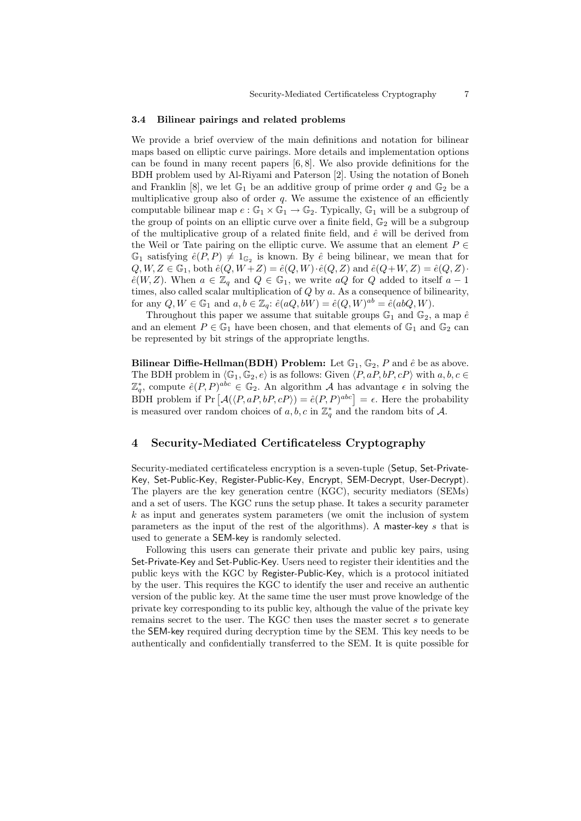#### 3.4 Bilinear pairings and related problems

We provide a brief overview of the main definitions and notation for bilinear maps based on elliptic curve pairings. More details and implementation options can be found in many recent papers [6, 8]. We also provide definitions for the BDH problem used by Al-Riyami and Paterson [2]. Using the notation of Boneh and Franklin [8], we let  $\mathbb{G}_1$  be an additive group of prime order q and  $\mathbb{G}_2$  be a multiplicative group also of order  $q$ . We assume the existence of an efficiently computable bilinear map  $e : \mathbb{G}_1 \times \mathbb{G}_1 \to \mathbb{G}_2$ . Typically,  $\mathbb{G}_1$  will be a subgroup of the group of points on an elliptic curve over a finite field,  $\mathbb{G}_2$  will be a subgroup of the multiplicative group of a related finite field, and  $\hat{e}$  will be derived from the Weil or Tate pairing on the elliptic curve. We assume that an element  $P \in$  $\mathbb{G}_1$  satisfying  $\hat{e}(P, P) \neq 1_{\mathbb{G}_2}$  is known. By  $\hat{e}$  being bilinear, we mean that for  $Q, W, Z \in \mathbb{G}_1,$  both  $\hat{e}(Q, W + Z) = \hat{e}(Q, W) \cdot \hat{e}(Q, Z)$  and  $\hat{e}(Q+W, Z) = \hat{e}(Q, Z) \cdot$  $\hat{e}(W, Z)$ . When  $a \in \mathbb{Z}_q$  and  $Q \in \mathbb{G}_1$ , we write aQ for Q added to itself  $a - 1$ times, also called scalar multiplication of  $Q$  by  $a$ . As a consequence of bilinearity, for any  $Q, W \in \mathbb{G}_1$  and  $a, b \in \mathbb{Z}_q$ :  $\hat{e}(aQ, bW) = \hat{e}(Q, W)^{ab} = \hat{e}(abQ, W)$ .

Throughout this paper we assume that suitable groups  $\mathbb{G}_1$  and  $\mathbb{G}_2$ , a map  $\hat{e}$ and an element  $P \in \mathbb{G}_1$  have been chosen, and that elements of  $\mathbb{G}_1$  and  $\mathbb{G}_2$  can be represented by bit strings of the appropriate lengths.

Bilinear Diffie-Hellman(BDH) Problem: Let  $\mathbb{G}_1$ ,  $\mathbb{G}_2$ , P and  $\hat{e}$  be as above. The BDH problem in  $\langle \mathbb{G}_1, \mathbb{G}_2, e \rangle$  is as follows: Given  $\langle P, aP, bP, cP \rangle$  with  $a, b, c \in$  $\mathbb{Z}_q^*$ , compute  $\hat{e}(P, P)^{abc} \in \mathbb{G}_2$ . An algorithm A has advantage  $\epsilon$  in solving the BDH problem if  $Pr\left[\mathcal{A}(\langle P, aP, bP, cP \rangle) = \hat{e}(P, P)^{abc}\right] = \epsilon$ . Here the probability is measured over random choices of  $a, b, c$  in  $\mathbb{Z}_q^*$  and the random bits of A.

# 4 Security-Mediated Certificateless Cryptography

Security-mediated certificateless encryption is a seven-tuple (Setup, Set-Private-Key, Set-Public-Key, Register-Public-Key, Encrypt, SEM-Decrypt, User-Decrypt). The players are the key generation centre (KGC), security mediators (SEMs) and a set of users. The KGC runs the setup phase. It takes a security parameter  $k$  as input and generates system parameters (we omit the inclusion of system parameters as the input of the rest of the algorithms). A master-key s that is used to generate a SEM-key is randomly selected.

Following this users can generate their private and public key pairs, using Set-Private-Key and Set-Public-Key. Users need to register their identities and the public keys with the KGC by Register-Public-Key, which is a protocol initiated by the user. This requires the KGC to identify the user and receive an authentic version of the public key. At the same time the user must prove knowledge of the private key corresponding to its public key, although the value of the private key remains secret to the user. The KGC then uses the master secret s to generate the SEM-key required during decryption time by the SEM. This key needs to be authentically and confidentially transferred to the SEM. It is quite possible for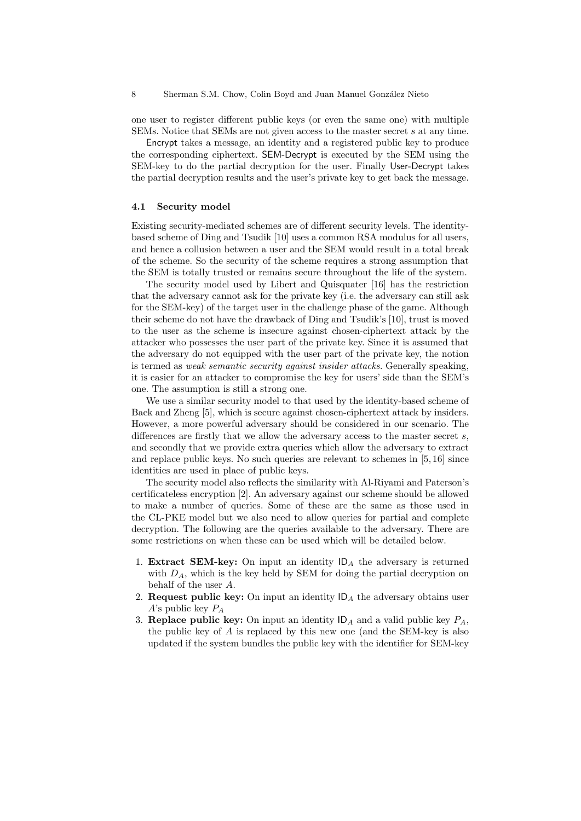one user to register different public keys (or even the same one) with multiple SEMs. Notice that SEMs are not given access to the master secret s at any time.

Encrypt takes a message, an identity and a registered public key to produce the corresponding ciphertext. SEM-Decrypt is executed by the SEM using the SEM-key to do the partial decryption for the user. Finally User-Decrypt takes the partial decryption results and the user's private key to get back the message.

#### 4.1 Security model

Existing security-mediated schemes are of different security levels. The identitybased scheme of Ding and Tsudik [10] uses a common RSA modulus for all users, and hence a collusion between a user and the SEM would result in a total break of the scheme. So the security of the scheme requires a strong assumption that the SEM is totally trusted or remains secure throughout the life of the system.

The security model used by Libert and Quisquater [16] has the restriction that the adversary cannot ask for the private key (i.e. the adversary can still ask for the SEM-key) of the target user in the challenge phase of the game. Although their scheme do not have the drawback of Ding and Tsudik's [10], trust is moved to the user as the scheme is insecure against chosen-ciphertext attack by the attacker who possesses the user part of the private key. Since it is assumed that the adversary do not equipped with the user part of the private key, the notion is termed as *weak semantic security against insider attacks*. Generally speaking, it is easier for an attacker to compromise the key for users' side than the SEM's one. The assumption is still a strong one.

We use a similar security model to that used by the identity-based scheme of Baek and Zheng [5], which is secure against chosen-ciphertext attack by insiders. However, a more powerful adversary should be considered in our scenario. The differences are firstly that we allow the adversary access to the master secret s, and secondly that we provide extra queries which allow the adversary to extract and replace public keys. No such queries are relevant to schemes in [5, 16] since identities are used in place of public keys.

The security model also reflects the similarity with Al-Riyami and Paterson's certificateless encryption [2]. An adversary against our scheme should be allowed to make a number of queries. Some of these are the same as those used in the CL-PKE model but we also need to allow queries for partial and complete decryption. The following are the queries available to the adversary. There are some restrictions on when these can be used which will be detailed below.

- 1. Extract SEM-key: On input an identity  $ID<sub>A</sub>$  the adversary is returned with  $D_A$ , which is the key held by SEM for doing the partial decryption on behalf of the user A.
- 2. Request public key: On input an identity  $ID<sub>A</sub>$  the adversary obtains user A's public key  $P_A$
- 3. Replace public key: On input an identity  $ID_A$  and a valid public key  $P_A$ , the public key of  $\tilde{A}$  is replaced by this new one (and the SEM-key is also updated if the system bundles the public key with the identifier for SEM-key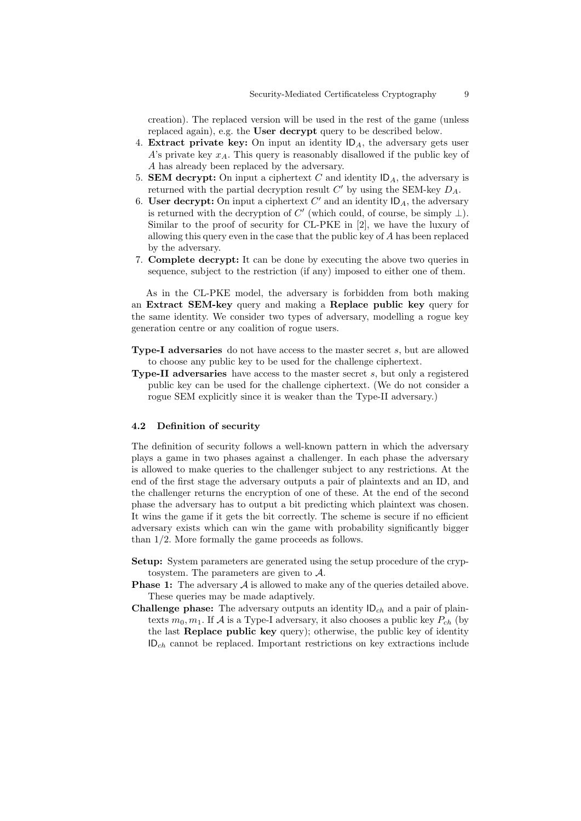creation). The replaced version will be used in the rest of the game (unless replaced again), e.g. the User decrypt query to be described below.

- 4. Extract private key: On input an identity  $ID_A$ , the adversary gets user A's private key  $x_A$ . This query is reasonably disallowed if the public key of A has already been replaced by the adversary.
- 5. **SEM decrypt:** On input a ciphertext C and identity  $|D_A|$ , the adversary is returned with the partial decryption result  $C'$  by using the SEM-key  $D_A$ .
- 6. User decrypt: On input a ciphertext  $C'$  and an identity  $ID_A$ , the adversary is returned with the decryption of  $C'$  (which could, of course, be simply  $\perp$ ). Similar to the proof of security for CL-PKE in [2], we have the luxury of allowing this query even in the case that the public key of A has been replaced by the adversary.
- 7. Complete decrypt: It can be done by executing the above two queries in sequence, subject to the restriction (if any) imposed to either one of them.

As in the CL-PKE model, the adversary is forbidden from both making an Extract SEM-key query and making a Replace public key query for the same identity. We consider two types of adversary, modelling a rogue key generation centre or any coalition of rogue users.

- Type-I adversaries do not have access to the master secret s, but are allowed to choose any public key to be used for the challenge ciphertext.
- Type-II adversaries have access to the master secret s, but only a registered public key can be used for the challenge ciphertext. (We do not consider a rogue SEM explicitly since it is weaker than the Type-II adversary.)

#### 4.2 Definition of security

The definition of security follows a well-known pattern in which the adversary plays a game in two phases against a challenger. In each phase the adversary is allowed to make queries to the challenger subject to any restrictions. At the end of the first stage the adversary outputs a pair of plaintexts and an ID, and the challenger returns the encryption of one of these. At the end of the second phase the adversary has to output a bit predicting which plaintext was chosen. It wins the game if it gets the bit correctly. The scheme is secure if no efficient adversary exists which can win the game with probability significantly bigger than 1/2. More formally the game proceeds as follows.

- Setup: System parameters are generated using the setup procedure of the cryptosystem. The parameters are given to A.
- **Phase 1:** The adversary  $\mathcal A$  is allowed to make any of the queries detailed above. These queries may be made adaptively.
- **Challenge phase:** The adversary outputs an identity  $\mathsf{ID}_{ch}$  and a pair of plaintexts  $m_0, m_1$ . If A is a Type-I adversary, it also chooses a public key  $P_{ch}$  (by the last Replace public key query); otherwise, the public key of identity  $ID<sub>ch</sub>$  cannot be replaced. Important restrictions on key extractions include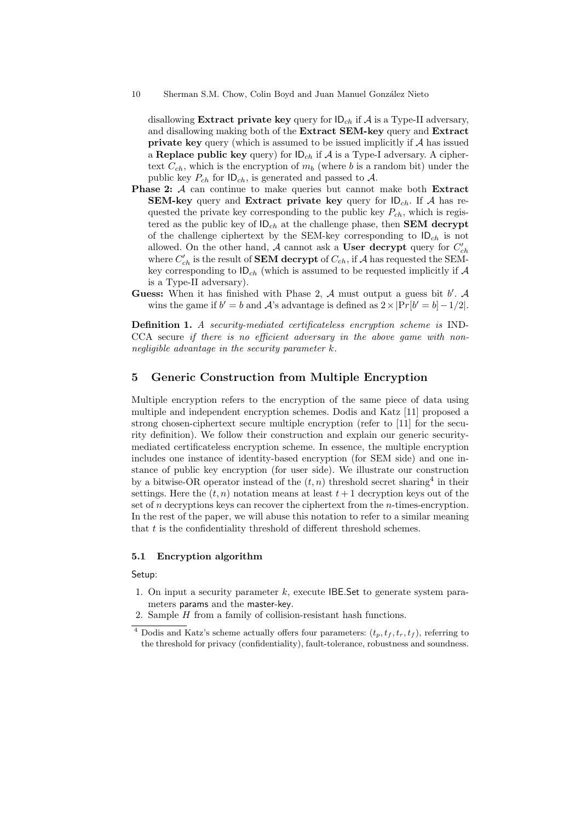disallowing **Extract private key** query for  $\mathsf{ID}_{ch}$  if A is a Type-II adversary, and disallowing making both of the Extract SEM-key query and Extract **private key** query (which is assumed to be issued implicitly if  $A$  has issued a Replace public key query) for  $ID_{ch}$  if A is a Type-I adversary. A ciphertext  $C_{ch}$ , which is the encryption of  $m_b$  (where b is a random bit) under the public key  $P_{ch}$  for  $ID_{ch}$ , is generated and passed to  $A$ .

- Phase 2: A can continue to make queries but cannot make both Extract SEM-key query and Extract private key query for  $ID_{ch}$ . If A has requested the private key corresponding to the public key  $P_{ch}$ , which is registered as the public key of  $ID_{ch}$  at the challenge phase, then **SEM decrypt** of the challenge ciphertext by the SEM-key corresponding to  $ID_{ch}$  is not allowed. On the other hand,  ${\cal A}$  cannot ask a User decrypt query for  $C_{ch}'$ where  $C_{ch}'$  is the result of **SEM decrypt** of  $C_{ch}$ , if  $\mathcal A$  has requested the SEMkey corresponding to  $ID_{ch}$  (which is assumed to be requested implicitly if A is a Type-II adversary).
- Guess: When it has finished with Phase 2,  $A$  must output a guess bit  $b'$ .  $A$ wins the game if  $b' = b$  and  $\mathcal{A}$ 's advantage is defined as  $2 \times |Pr[b' = b] - 1/2|$ .

Definition 1. A security-mediated certificateless encryption scheme is IND-CCA secure if there is no efficient adversary in the above game with nonnegligible advantage in the security parameter k.

# 5 Generic Construction from Multiple Encryption

Multiple encryption refers to the encryption of the same piece of data using multiple and independent encryption schemes. Dodis and Katz [11] proposed a strong chosen-ciphertext secure multiple encryption (refer to [11] for the security definition). We follow their construction and explain our generic securitymediated certificateless encryption scheme. In essence, the multiple encryption includes one instance of identity-based encryption (for SEM side) and one instance of public key encryption (for user side). We illustrate our construction by a bitwise-OR operator instead of the  $(t, n)$  threshold secret sharing<sup>4</sup> in their settings. Here the  $(t, n)$  notation means at least  $t + 1$  decryption keys out of the set of  $n$  decryptions keys can recover the ciphertext from the  $n$ -times-encryption. In the rest of the paper, we will abuse this notation to refer to a similar meaning that  $t$  is the confidentiality threshold of different threshold schemes.

### 5.1 Encryption algorithm

Setup:

- 1. On input a security parameter  $k$ , execute IBE. Set to generate system parameters params and the master-key.
- 2. Sample H from a family of collision-resistant hash functions.

Dodis and Katz's scheme actually offers four parameters:  $(t_p, t_f, t_r, t_f)$ , referring to the threshold for privacy (confidentiality), fault-tolerance, robustness and soundness.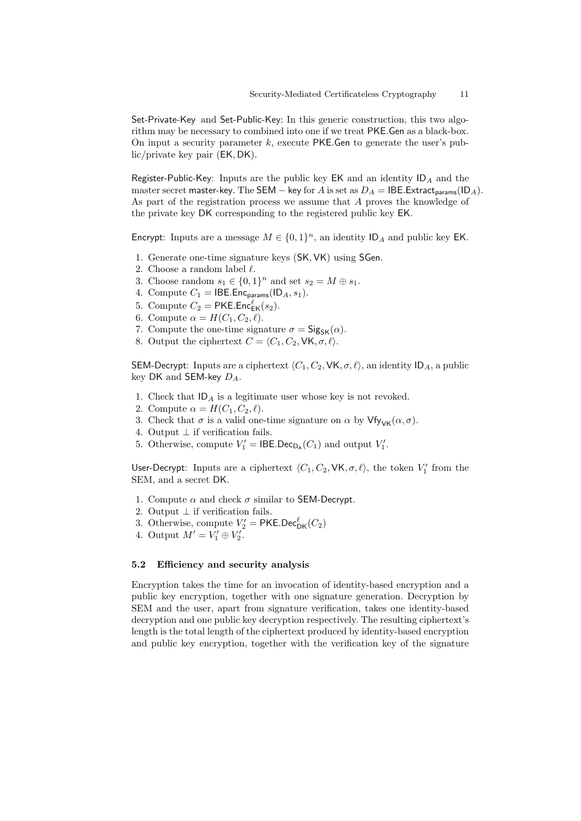Set-Private-Key and Set-Public-Key: In this generic construction, this two algorithm may be necessary to combined into one if we treat PKE.Gen as a black-box. On input a security parameter  $k$ , execute PKE.Gen to generate the user's public/private key pair (EK, DK).

Register-Public-Key: Inputs are the public key  $EK$  and an identity  $ID<sub>A</sub>$  and the master secret master-key. The SEM – key for A is set as  $D_A = \text{IBE.Extract}_{params}(\text{ID}_A)$ . As part of the registration process we assume that A proves the knowledge of the private key DK corresponding to the registered public key EK.

Encrypt: Inputs are a message  $M \in \{0,1\}^n$ , an identity  $ID_A$  and public key EK.

- 1. Generate one-time signature keys (SK,VK) using SGen.
- 2. Choose a random label  $\ell$ .
- 3. Choose random  $s_1 \in \{0,1\}^n$  and set  $s_2 = M \oplus s_1$ .
- 4. Compute  $C_1 = \mathsf{IBE}.\mathsf{Enc}_{\mathsf{params}}(\mathsf{ID}_A, s_1).$
- 5. Compute  $C_2 = \mathsf{PKE}.\mathsf{Enc}^{\ell}_{\mathsf{EK}}(s_2)$ .
- 6. Compute  $\alpha = H(C_1, C_2, \ell).$
- 7. Compute the one-time signature  $\sigma = \mathsf{Sig}_{\mathsf{SK}}(\alpha)$ .
- 8. Output the ciphertext  $C = \langle C_1, C_2, \forall K, \sigma, \ell \rangle$ .

**SEM-Decrypt:** Inputs are a ciphertext  $\langle C_1, C_2, \forall K, \sigma, \ell \rangle$ , an identity ID<sub>A</sub>, a public key DK and SEM-key  $D_A$ .

- 1. Check that  $ID_A$  is a legitimate user whose key is not revoked.
- 2. Compute  $\alpha = H(C_1, C_2, \ell)$ .
- 3. Check that  $\sigma$  is a valid one-time signature on  $\alpha$  by  $Vf_{\gamma\gamma\kappa}(\alpha, \sigma)$ .
- 4. Output  $\perp$  if verification fails.
- 5. Otherwise, compute  $V'_1 = \mathsf{IBE.Dec}_{\mathsf{D}_\mathsf{A}}(C_1)$  and output  $V'_1$ .

User-Decrypt: Inputs are a ciphertext  $\langle C_1, C_2, \mathsf{VK}, \sigma, \ell \rangle$ , the token  $V'_1$  from the SEM, and a secret DK.

- 1. Compute  $\alpha$  and check  $\sigma$  similar to **SEM-Decrypt.**
- 2. Output  $\perp$  if verification fails.
- 3. Otherwise, compute  $V_2' = \mathsf{PKE}.\mathsf{Dec}_{\mathsf{DK}}^{\ell}(C_2)$
- 4. Output  $M' = V'_1 \oplus V'_2$ .

## 5.2 Efficiency and security analysis

Encryption takes the time for an invocation of identity-based encryption and a public key encryption, together with one signature generation. Decryption by SEM and the user, apart from signature verification, takes one identity-based decryption and one public key decryption respectively. The resulting ciphertext's length is the total length of the ciphertext produced by identity-based encryption and public key encryption, together with the verification key of the signature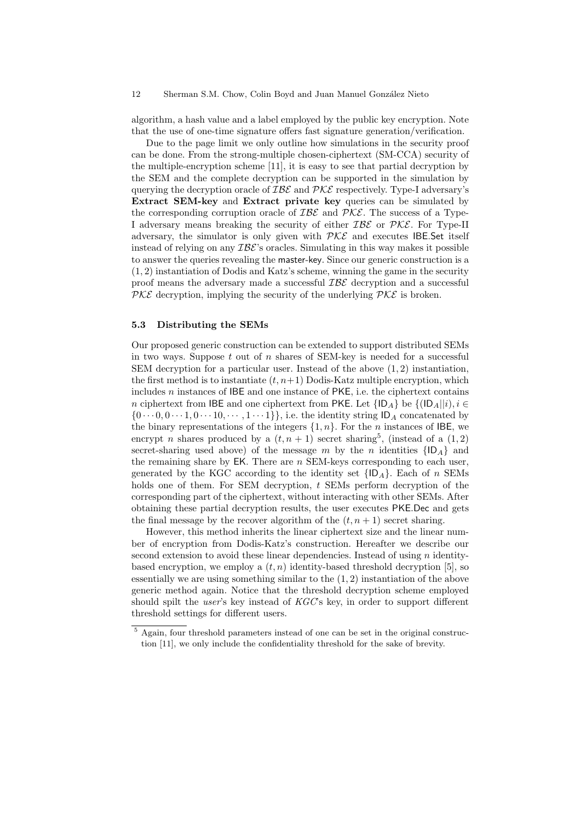algorithm, a hash value and a label employed by the public key encryption. Note that the use of one-time signature offers fast signature generation/verification.

Due to the page limit we only outline how simulations in the security proof can be done. From the strong-multiple chosen-ciphertext (SM-CCA) security of the multiple-encryption scheme [11], it is easy to see that partial decryption by the SEM and the complete decryption can be supported in the simulation by querying the decryption oracle of  $\mathcal{I}\mathcal{B}\mathcal{E}$  and  $\mathcal{P}\mathcal{K}\mathcal{E}$  respectively. Type-I adversary's Extract SEM-key and Extract private key queries can be simulated by the corresponding corruption oracle of  $\mathcal{IBE}$  and  $\mathcal{PKE}$ . The success of a Type-I adversary means breaking the security of either  $\mathcal{IBE}$  or  $\mathcal{PKE}$ . For Type-II adversary, the simulator is only given with  $PKE$  and executes IBE. Set itself instead of relying on any  $IBE$ 's oracles. Simulating in this way makes it possible to answer the queries revealing the master-key. Since our generic construction is a (1, 2) instantiation of Dodis and Katz's scheme, winning the game in the security proof means the adversary made a successful  $\mathcal{IBE}$  decryption and a successful  $PKE$  decryption, implying the security of the underlying  $PKE$  is broken.

#### 5.3 Distributing the SEMs

Our proposed generic construction can be extended to support distributed SEMs in two ways. Suppose  $t$  out of  $n$  shares of SEM-key is needed for a successful SEM decryption for a particular user. Instead of the above  $(1, 2)$  instantiation, the first method is to instantiate  $(t, n+1)$  Dodis-Katz multiple encryption, which includes  $n$  instances of IBE and one instance of PKE, i.e. the ciphertext contains n ciphertext from IBE and one ciphertext from PKE. Let  $\{ |D_A| \}$  be  $\{ |D_A||i), i \in$  $\{0 \cdots 0, 0 \cdots 1, 0 \cdots 10, \cdots, 1 \cdots 1\}$ , i.e. the identity string  $ID_A$  concatenated by the binary representations of the integers  $\{1, n\}$ . For the *n* instances of IBE, we encrypt *n* shares produced by a  $(t, n + 1)$  secret sharing<sup>5</sup>, (instead of a  $(1, 2)$ ) secret-sharing used above) of the message m by the n identities  $\{ |D_A| \}$  and the remaining share by  $EK$ . There are n SEM-keys corresponding to each user, generated by the KGC according to the identity set  $\{ |D_A| \}$ . Each of n SEMs holds one of them. For SEM decryption,  $t$  SEMs perform decryption of the corresponding part of the ciphertext, without interacting with other SEMs. After obtaining these partial decryption results, the user executes PKE.Dec and gets the final message by the recover algorithm of the  $(t, n + 1)$  secret sharing.

However, this method inherits the linear ciphertext size and the linear number of encryption from Dodis-Katz's construction. Hereafter we describe our second extension to avoid these linear dependencies. Instead of using  $n$  identitybased encryption, we employ a  $(t, n)$  identity-based threshold decryption [5], so essentially we are using something similar to the (1, 2) instantiation of the above generic method again. Notice that the threshold decryption scheme employed should spilt the user's key instead of  $KGC$ 's key, in order to support different threshold settings for different users.

<sup>5</sup> Again, four threshold parameters instead of one can be set in the original construction [11], we only include the confidentiality threshold for the sake of brevity.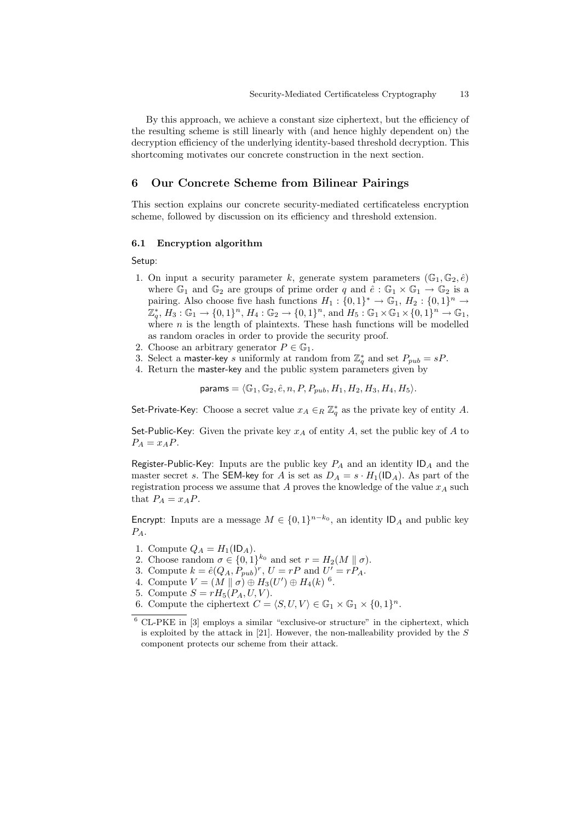By this approach, we achieve a constant size ciphertext, but the efficiency of the resulting scheme is still linearly with (and hence highly dependent on) the decryption efficiency of the underlying identity-based threshold decryption. This shortcoming motivates our concrete construction in the next section.

### 6 Our Concrete Scheme from Bilinear Pairings

This section explains our concrete security-mediated certificateless encryption scheme, followed by discussion on its efficiency and threshold extension.

### 6.1 Encryption algorithm

Setup:

- 1. On input a security parameter k, generate system parameters  $(\mathbb{G}_1, \mathbb{G}_2, \hat{e})$ where  $\mathbb{G}_1$  and  $\mathbb{G}_2$  are groups of prime order q and  $\hat{e}: \mathbb{G}_1 \times \mathbb{G}_1 \to \mathbb{G}_2$  is a pairing. Also choose five hash functions  $H_1: \{0,1\}^* \to \mathbb{G}_1$ ,  $H_2: \{0,1\}^n \to$  $\mathbb{Z}_q^*, H_3: \mathbb{G}_1 \to \{0,1\}^n, H_4: \mathbb{G}_2 \to \{0,1\}^n$ , and  $H_5: \mathbb{G}_1 \times \mathbb{G}_1 \times \{0,1\}^n \to \mathbb{G}_1$ , where  $n$  is the length of plaintexts. These hash functions will be modelled as random oracles in order to provide the security proof.
- 2. Choose an arbitrary generator  $P \in \mathbb{G}_1$ .
- 3. Select a master-key s uniformly at random from  $\mathbb{Z}_q^*$  and set  $P_{pub} = sP$ .
- 4. Return the master-key and the public system parameters given by

$$
\text{params} = \langle \mathbb{G}_1, \mathbb{G}_2, \hat{e}, n, P, P_{pub}, H_1, H_2, H_3, H_4, H_5 \rangle.
$$

Set-Private-Key: Choose a secret value  $x_A \in_R \mathbb{Z}_q^*$  as the private key of entity A.

Set-Public-Key: Given the private key  $x_A$  of entity A, set the public key of A to  $P_A = x_A P$ .

Register-Public-Key: Inputs are the public key  $P_A$  and an identity  $ID_A$  and the master secret s. The SEM-key for A is set as  $D_A = s \cdot H_1(\mathsf{ID}_A)$ . As part of the registration process we assume that A proves the knowledge of the value  $x_A$  such that  $P_A = x_A P$ .

Encrypt: Inputs are a message  $M \in \{0,1\}^{n-k_0}$ , an identity  $ID_A$  and public key  $P_A$ .

- 1. Compute  $Q_A = H_1(\mathsf{ID}_A)$ .
- 2. Choose random  $\sigma \in \{0,1\}^{k_0}$  and set  $r = H_2(M \parallel \sigma)$ .
- 3. Compute  $k = \hat{e}(Q_A, P_{pub})^r$ ,  $U = rP$  and  $U' = rP_A$ .
- 4. Compute  $V = (M \parallel \sigma) \oplus H_3(U') \oplus H_4(k)$ <sup>6</sup>.
- 5. Compute  $S = rH_5(P_A, U, V)$ .
- 6. Compute the ciphertext  $C = \langle S, U, V \rangle \in \mathbb{G}_1 \times \mathbb{G}_1 \times \{0, 1\}^n$ .

 $6$  CL-PKE in [3] employs a similar "exclusive-or structure" in the ciphertext, which is exploited by the attack in [21]. However, the non-malleability provided by the  $S$ component protects our scheme from their attack.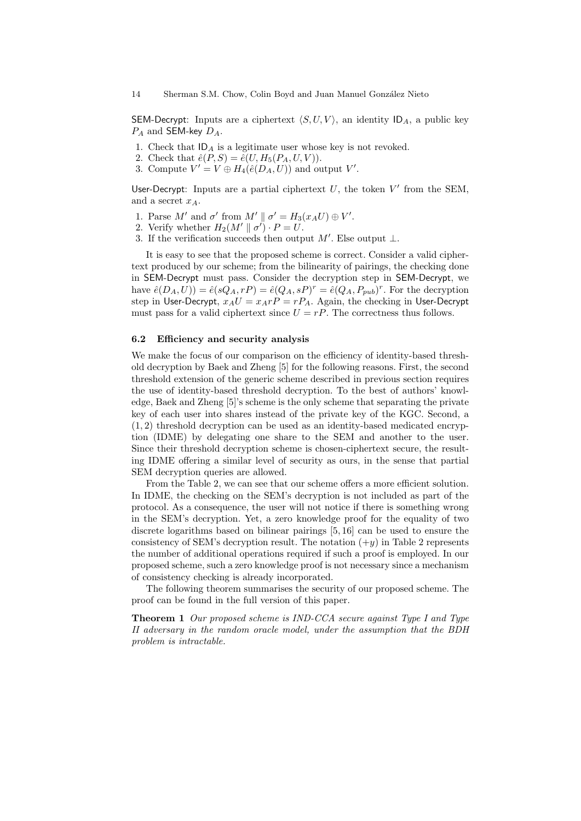**SEM-Decrypt:** Inputs are a ciphertext  $\langle S, U, V \rangle$ , an identity  $\mathsf{ID}_A$ , a public key  $P_A$  and SEM-key  $D_A$ .

- 1. Check that  $ID_A$  is a legitimate user whose key is not revoked.
- 2. Check that  $\hat{e}(P, S) = \hat{e}(U, H_5(P_A, U, V)).$
- 3. Compute  $V' = V \oplus H_4(\hat{e}(D_A, U))$  and output  $V'$ .

User-Decrypt: Inputs are a partial ciphertext  $U$ , the token  $V'$  from the SEM, and a secret  $x_A$ .

- 1. Parse M' and  $\sigma'$  from  $M' \parallel \sigma' = H_3(x_A U) \oplus V'.$
- 2. Verify whether  $H_2(M' \parallel \sigma') \cdot P = U$ .
- 3. If the verification succeeds then output  $M'$ . Else output  $\bot$ .

It is easy to see that the proposed scheme is correct. Consider a valid ciphertext produced by our scheme; from the bilinearity of pairings, the checking done in SEM-Decrypt must pass. Consider the decryption step in SEM-Decrypt, we have  $\hat{e}(D_A, U) = \hat{e}(sQ_A, rP) = \hat{e}(Q_A, sP)^r = \hat{e}(Q_A, P_{pub})^r$ . For the decryption step in User-Decrypt,  $x_A U = x_A rP = rP_A$ . Again, the checking in User-Decrypt must pass for a valid ciphertext since  $U = rP$ . The correctness thus follows.

#### 6.2 Efficiency and security analysis

We make the focus of our comparison on the efficiency of identity-based threshold decryption by Baek and Zheng [5] for the following reasons. First, the second threshold extension of the generic scheme described in previous section requires the use of identity-based threshold decryption. To the best of authors' knowledge, Baek and Zheng [5]'s scheme is the only scheme that separating the private key of each user into shares instead of the private key of the KGC. Second, a (1, 2) threshold decryption can be used as an identity-based medicated encryption (IDME) by delegating one share to the SEM and another to the user. Since their threshold decryption scheme is chosen-ciphertext secure, the resulting IDME offering a similar level of security as ours, in the sense that partial SEM decryption queries are allowed.

From the Table 2, we can see that our scheme offers a more efficient solution. In IDME, the checking on the SEM's decryption is not included as part of the protocol. As a consequence, the user will not notice if there is something wrong in the SEM's decryption. Yet, a zero knowledge proof for the equality of two discrete logarithms based on bilinear pairings [5, 16] can be used to ensure the consistency of SEM's decryption result. The notation  $(+y)$  in Table 2 represents the number of additional operations required if such a proof is employed. In our proposed scheme, such a zero knowledge proof is not necessary since a mechanism of consistency checking is already incorporated.

The following theorem summarises the security of our proposed scheme. The proof can be found in the full version of this paper.

Theorem 1 Our proposed scheme is IND-CCA secure against Type I and Type II adversary in the random oracle model, under the assumption that the BDH problem is intractable.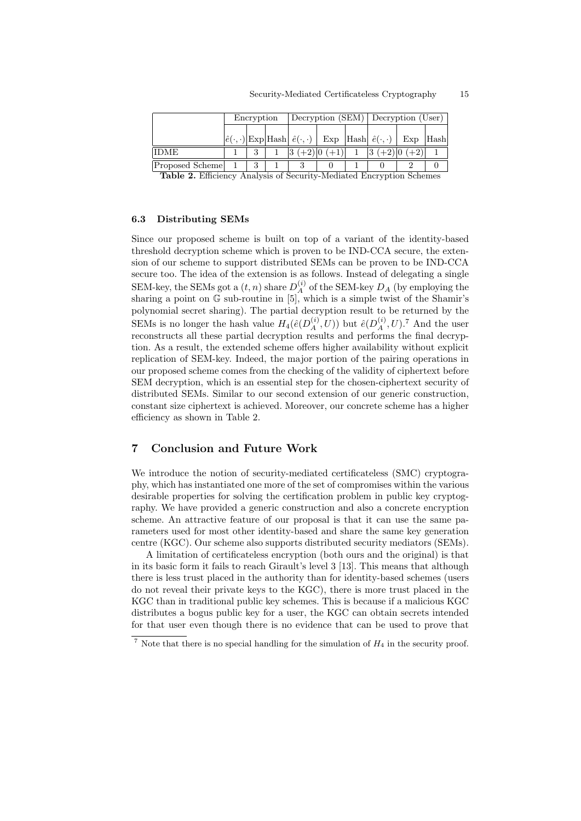|                 | Encryption |  |  |                                                                                                                                                                                                                | Decryption (SEM) Decryption (User) |                   |  |  |
|-----------------|------------|--|--|----------------------------------------------------------------------------------------------------------------------------------------------------------------------------------------------------------------|------------------------------------|-------------------|--|--|
|                 |            |  |  | $\left \hat{e}(\cdot,\cdot)\right  \exp\left \text{Hash}\right  \hat{e}(\cdot,\cdot) \left  \text{Exp }\right  \exp\left \text{Hash}\right  \hat{e}(\cdot,\cdot) \left  \text{Exp }\right  \text{Hash}\right $ |                                    |                   |  |  |
| <b>IDME</b>     |            |  |  | $ 3(+2) 0(+1) $                                                                                                                                                                                                |                                    | $ 3 (+2) 0 (+2) $ |  |  |
| Proposed Scheme |            |  |  |                                                                                                                                                                                                                |                                    |                   |  |  |

Table 2. Efficiency Analysis of Security-Mediated Encryption Schemes

### 6.3 Distributing SEMs

Since our proposed scheme is built on top of a variant of the identity-based threshold decryption scheme which is proven to be IND-CCA secure, the extension of our scheme to support distributed SEMs can be proven to be IND-CCA secure too. The idea of the extension is as follows. Instead of delegating a single SEM-key, the SEMs got a  $(t, n)$  share  $D_A^{(i)}$  of the SEM-key  $D_A$  (by employing the sharing a point on  $\mathbb G$  sub-routine in [5], which is a simple twist of the Shamir's polynomial secret sharing). The partial decryption result to be returned by the SEMs is no longer the hash value  $H_4(\hat{e}(D_A^{(i)}, U))$  but  $\hat{e}(D_A^{(i)}, U)$ .<sup>7</sup> And the user reconstructs all these partial decryption results and performs the final decryption. As a result, the extended scheme offers higher availability without explicit replication of SEM-key. Indeed, the major portion of the pairing operations in our proposed scheme comes from the checking of the validity of ciphertext before SEM decryption, which is an essential step for the chosen-ciphertext security of distributed SEMs. Similar to our second extension of our generic construction, constant size ciphertext is achieved. Moreover, our concrete scheme has a higher efficiency as shown in Table 2.

### 7 Conclusion and Future Work

We introduce the notion of security-mediated certificateless (SMC) cryptography, which has instantiated one more of the set of compromises within the various desirable properties for solving the certification problem in public key cryptography. We have provided a generic construction and also a concrete encryption scheme. An attractive feature of our proposal is that it can use the same parameters used for most other identity-based and share the same key generation centre (KGC). Our scheme also supports distributed security mediators (SEMs).

A limitation of certificateless encryption (both ours and the original) is that in its basic form it fails to reach Girault's level 3 [13]. This means that although there is less trust placed in the authority than for identity-based schemes (users do not reveal their private keys to the KGC), there is more trust placed in the KGC than in traditional public key schemes. This is because if a malicious KGC distributes a bogus public key for a user, the KGC can obtain secrets intended for that user even though there is no evidence that can be used to prove that

<sup>&</sup>lt;sup>7</sup> Note that there is no special handling for the simulation of  $H_4$  in the security proof.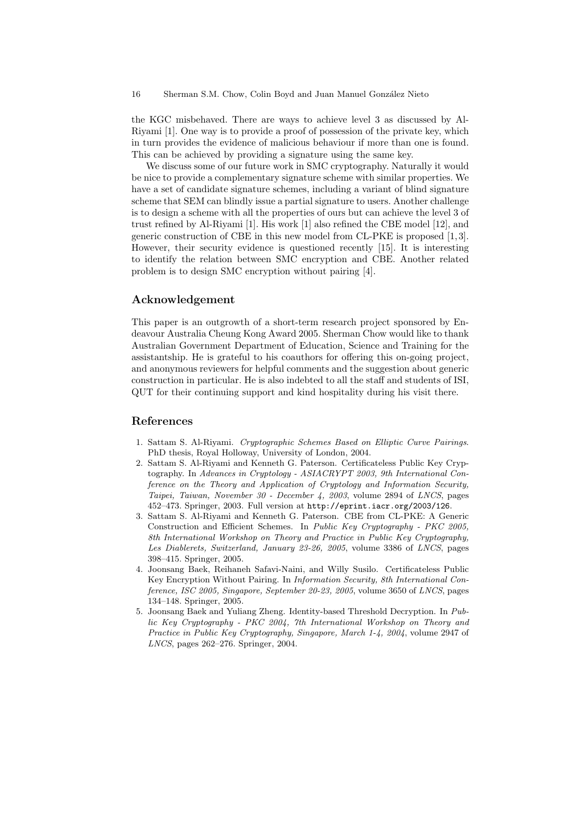the KGC misbehaved. There are ways to achieve level 3 as discussed by Al-Riyami [1]. One way is to provide a proof of possession of the private key, which in turn provides the evidence of malicious behaviour if more than one is found. This can be achieved by providing a signature using the same key.

We discuss some of our future work in SMC cryptography. Naturally it would be nice to provide a complementary signature scheme with similar properties. We have a set of candidate signature schemes, including a variant of blind signature scheme that SEM can blindly issue a partial signature to users. Another challenge is to design a scheme with all the properties of ours but can achieve the level 3 of trust refined by Al-Riyami [1]. His work [1] also refined the CBE model [12], and generic construction of CBE in this new model from CL-PKE is proposed [1, 3]. However, their security evidence is questioned recently [15]. It is interesting to identify the relation between SMC encryption and CBE. Another related problem is to design SMC encryption without pairing [4].

### Acknowledgement

This paper is an outgrowth of a short-term research project sponsored by Endeavour Australia Cheung Kong Award 2005. Sherman Chow would like to thank Australian Government Department of Education, Science and Training for the assistantship. He is grateful to his coauthors for offering this on-going project, and anonymous reviewers for helpful comments and the suggestion about generic construction in particular. He is also indebted to all the staff and students of ISI, QUT for their continuing support and kind hospitality during his visit there.

### References

- 1. Sattam S. Al-Riyami. Cryptographic Schemes Based on Elliptic Curve Pairings. PhD thesis, Royal Holloway, University of London, 2004.
- 2. Sattam S. Al-Riyami and Kenneth G. Paterson. Certificateless Public Key Cryptography. In Advances in Cryptology - ASIACRYPT 2003, 9th International Conference on the Theory and Application of Cryptology and Information Security, Taipei, Taiwan, November 30 - December 4, 2003, volume 2894 of LNCS, pages 452–473. Springer, 2003. Full version at http://eprint.iacr.org/2003/126.
- 3. Sattam S. Al-Riyami and Kenneth G. Paterson. CBE from CL-PKE: A Generic Construction and Efficient Schemes. In Public Key Cryptography - PKC 2005, 8th International Workshop on Theory and Practice in Public Key Cryptography, Les Diablerets, Switzerland, January 23-26, 2005, volume 3386 of LNCS, pages 398–415. Springer, 2005.
- 4. Joonsang Baek, Reihaneh Safavi-Naini, and Willy Susilo. Certificateless Public Key Encryption Without Pairing. In Information Security, 8th International Conference, ISC 2005, Singapore, September 20-23, 2005, volume 3650 of LNCS, pages 134–148. Springer, 2005.
- 5. Joonsang Baek and Yuliang Zheng. Identity-based Threshold Decryption. In Public Key Cryptography - PKC 2004, 7th International Workshop on Theory and Practice in Public Key Cryptography, Singapore, March 1-4, 2004, volume 2947 of LNCS, pages 262–276. Springer, 2004.